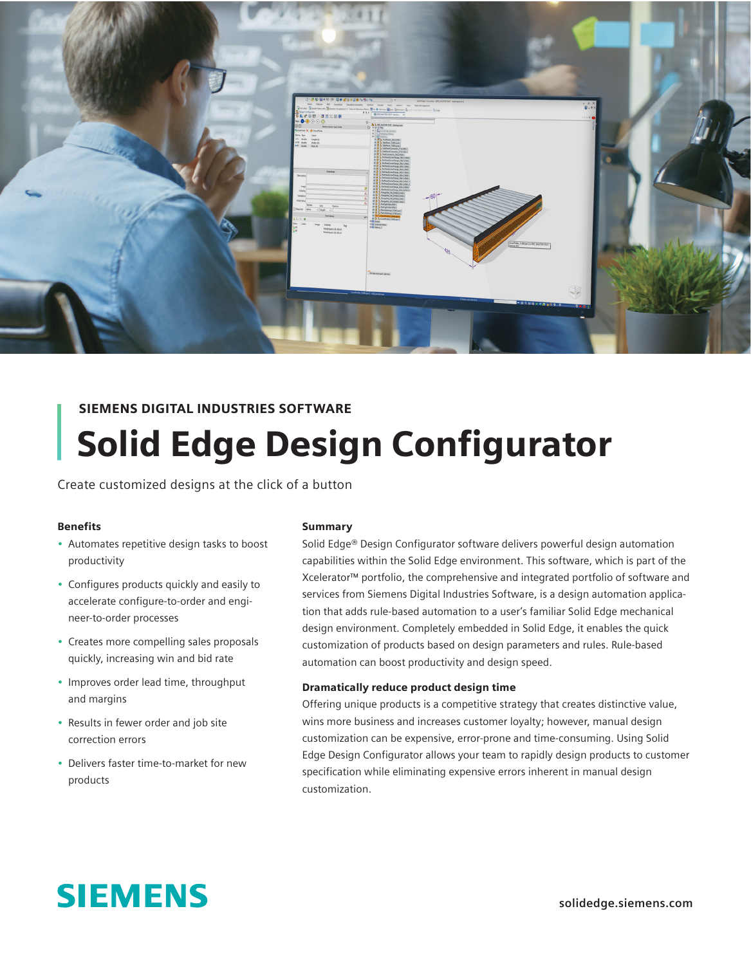

## SIEMENS DIGITAL INDUSTRIES SOFTWARE Solid Edge Design Configurator

Create customized designs at the click of a button

#### Benefits

- Automates repetitive design tasks to boost productivity
- Configures products quickly and easily to accelerate configure-to-order and engineer-to-order processes
- Creates more compelling sales proposals quickly, increasing win and bid rate
- Improves order lead time, throughput and margins
- Results in fewer order and job site correction errors
- Delivers faster time-to-market for new products

#### **Summary**

Solid Edge® Design Configurator software delivers powerful design automation capabilities within the Solid Edge environment. This software, which is part of the Xcelerator™ portfolio, the comprehensive and integrated portfolio of software and services from Siemens Digital Industries Software, is a design automation application that adds rule-based automation to a user's familiar Solid Edge mechanical design environment. Completely embedded in Solid Edge, it enables the quick customization of products based on design parameters and rules. Rule-based automation can boost productivity and design speed.

#### Dramatically reduce product design time

Offering unique products is a competitive strategy that creates distinctive value, wins more business and increases customer loyalty; however, manual design customization can be expensive, error-prone and time-consuming. Using Solid Edge Design Configurator allows your team to rapidly design products to customer specification while eliminating expensive errors inherent in manual design customization.

# **SIEMENS**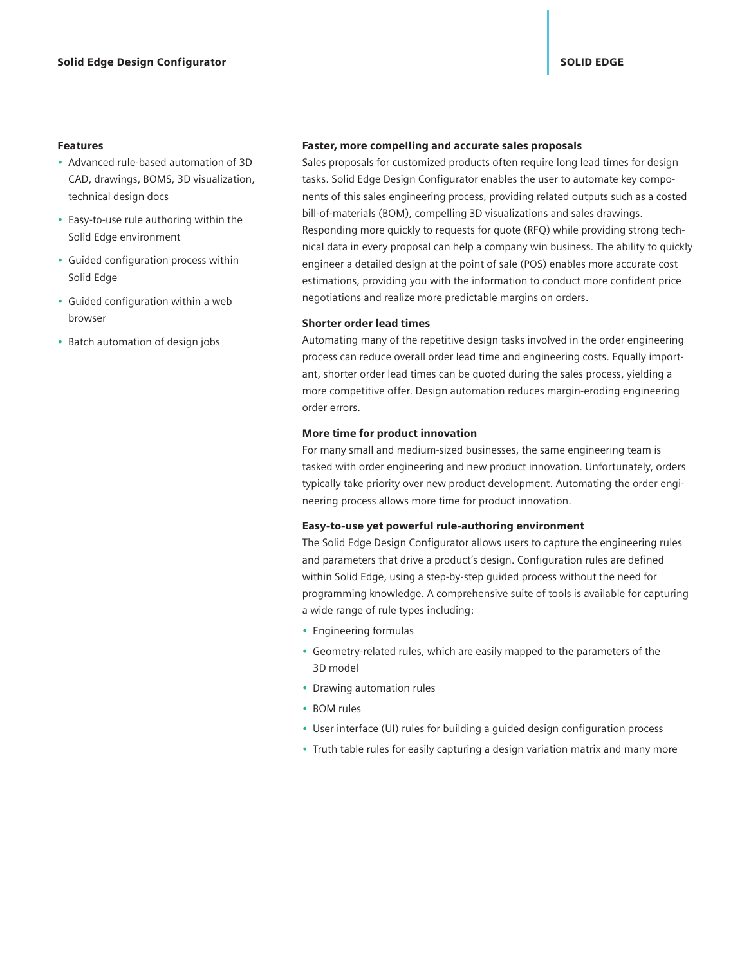#### Features

- Advanced rule-based automation of 3D CAD, drawings, BOMS, 3D visualization, technical design docs
- Easy-to-use rule authoring within the Solid Edge environment
- Guided configuration process within Solid Edge
- Guided configuration within a web browser
- Batch automation of design jobs

#### Faster, more compelling and accurate sales proposals

Sales proposals for customized products often require long lead times for design tasks. Solid Edge Design Configurator enables the user to automate key components of this sales engineering process, providing related outputs such as a costed bill-of-materials (BOM), compelling 3D visualizations and sales drawings. Responding more quickly to requests for quote (RFQ) while providing strong technical data in every proposal can help a company win business. The ability to quickly engineer a detailed design at the point of sale (POS) enables more accurate cost estimations, providing you with the information to conduct more confident price negotiations and realize more predictable margins on orders.

#### Shorter order lead times

Automating many of the repetitive design tasks involved in the order engineering process can reduce overall order lead time and engineering costs. Equally important, shorter order lead times can be quoted during the sales process, yielding a more competitive offer. Design automation reduces margin-eroding engineering order errors.

#### More time for product innovation

For many small and medium-sized businesses, the same engineering team is tasked with order engineering and new product innovation. Unfortunately, orders typically take priority over new product development. Automating the order engineering process allows more time for product innovation.

#### Easy-to-use yet powerful rule-authoring environment

The Solid Edge Design Configurator allows users to capture the engineering rules and parameters that drive a product's design. Configuration rules are defined within Solid Edge, using a step-by-step guided process without the need for programming knowledge. A comprehensive suite of tools is available for capturing a wide range of rule types including:

- Engineering formulas
- Geometry-related rules, which are easily mapped to the parameters of the 3D model
- Drawing automation rules
- BOM rules
- User interface (UI) rules for building a guided design configuration process
- Truth table rules for easily capturing a design variation matrix and many more